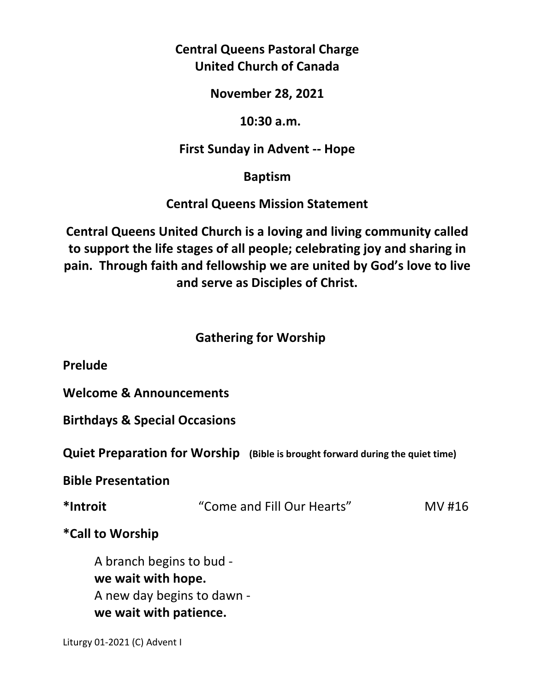## **Central Queens Pastoral Charge United Church of Canada**

#### **November 28, 2021**

### **10:30 a.m.**

### **First Sunday in Advent -- Hope**

### **Baptism**

### **Central Queens Mission Statement**

**Central Queens United Church is a loving and living community called to support the life stages of all people; celebrating joy and sharing in pain. Through faith and fellowship we are united by God's love to live and serve as Disciples of Christ.**

### **Gathering for Worship**

**Prelude** 

**Welcome & Announcements** 

**Birthdays & Special Occasions** 

**Quiet Preparation for Worship (Bible is brought forward during the quiet time)** 

**Bible Presentation** 

| *Introit | "Come and Fill Our Hearts" | MV #16 |
|----------|----------------------------|--------|
|----------|----------------------------|--------|

**\*Call to Worship** 

A branch begins to bud  **we wait with hope.**  A new day begins to dawn  **we wait with patience.** 

Liturgy 01-2021 (C) Advent I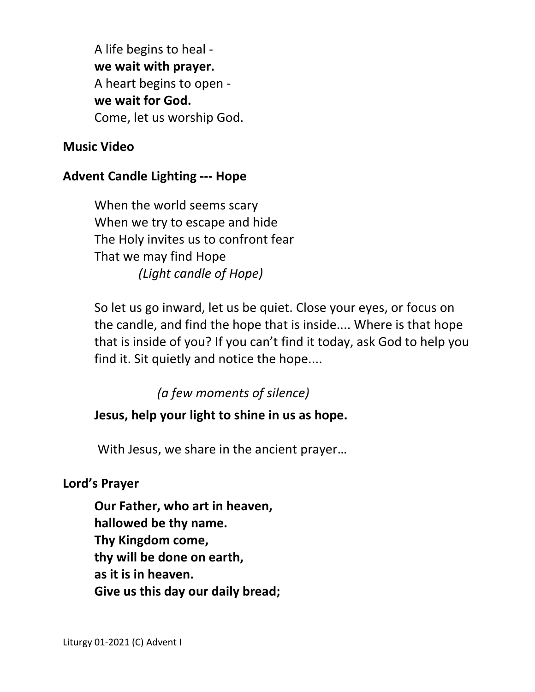A life begins to heal  **we wait with prayer.**  A heart begins to open  **we wait for God.**  Come, let us worship God.

#### **Music Video**

### **Advent Candle Lighting --- Hope**

 When the world seems scary When we try to escape and hide The Holy invites us to confront fear That we may find Hope  *(Light candle of Hope)*

 So let us go inward, let us be quiet. Close your eyes, or focus on the candle, and find the hope that is inside.... Where is that hope that is inside of you? If you can't find it today, ask God to help you find it. Sit quietly and notice the hope....

*(a few moments of silence)* 

### **Jesus, help your light to shine in us as hope.**

With Jesus, we share in the ancient prayer…

#### **Lord's Prayer**

**Our Father, who art in heaven, hallowed be thy name. Thy Kingdom come, thy will be done on earth, as it is in heaven. Give us this day our daily bread;**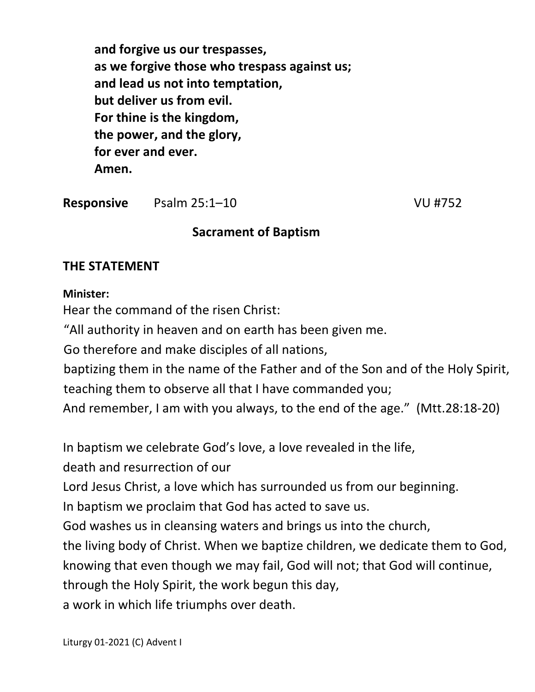**and forgive us our trespasses, as we forgive those who trespass against us; and lead us not into temptation, but deliver us from evil. For thine is the kingdom, the power, and the glory, for ever and ever. Amen.** 

**Responsive** Psalm 25:1–10 VU #752

### **Sacrament of Baptism**

### **THE STATEMENT**

#### **Minister:**

Hear the command of the risen Christ:

"All authority in heaven and on earth has been given me.

Go therefore and make disciples of all nations,

 baptizing them in the name of the Father and of the Son and of the Holy Spirit, teaching them to observe all that I have commanded you;

And remember, I am with you always, to the end of the age." (Mtt.28:18-20)

In baptism we celebrate God's love, a love revealed in the life,

death and resurrection of our

Lord Jesus Christ, a love which has surrounded us from our beginning.

In baptism we proclaim that God has acted to save us.

God washes us in cleansing waters and brings us into the church,

the living body of Christ. When we baptize children, we dedicate them to God,

knowing that even though we may fail, God will not; that God will continue,

through the Holy Spirit, the work begun this day,

a work in which life triumphs over death.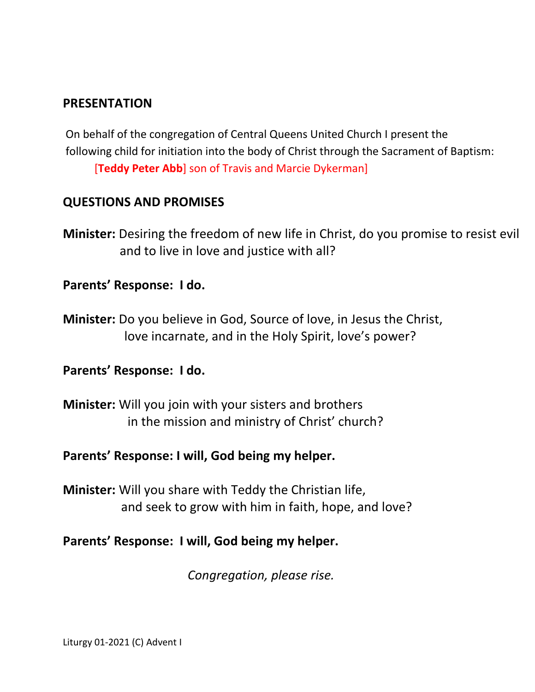### **PRESENTATION**

 On behalf of the congregation of Central Queens United Church I present the following child for initiation into the body of Christ through the Sacrament of Baptism: [**Teddy Peter Abb**] son of Travis and Marcie Dykerman]

### **QUESTIONS AND PROMISES**

**Minister:** Desiring the freedom of new life in Christ, do you promise to resist evil and to live in love and justice with all?

### **Parents' Response: I do.**

**Minister:** Do you believe in God, Source of love, in Jesus the Christ, love incarnate, and in the Holy Spirit, love's power?

### **Parents' Response: I do.**

**Minister:** Will you join with your sisters and brothers in the mission and ministry of Christ' church?

### **Parents' Response: I will, God being my helper.**

**Minister:** Will you share with Teddy the Christian life, and seek to grow with him in faith, hope, and love?

#### **Parents' Response: I will, God being my helper.**

*Congregation, please rise.*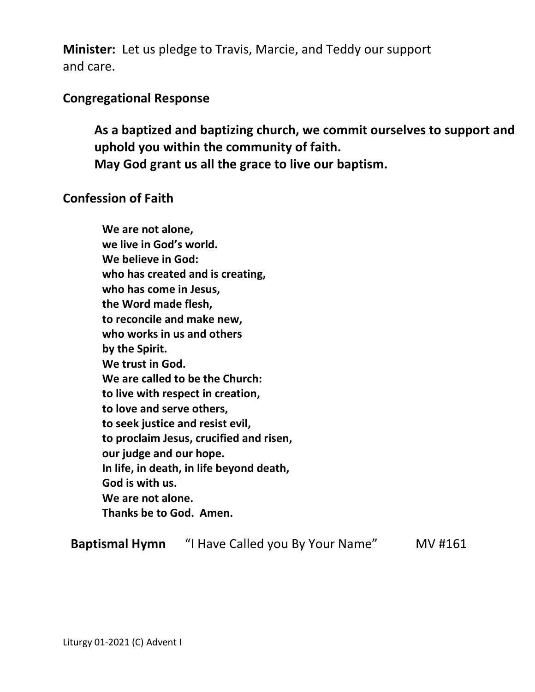**Minister:** Let us pledge to Travis, Marcie, and Teddy our support and care.

#### **Congregational Response**

**As a baptized and baptizing church, we commit ourselves to support and uphold you within the community of faith. May God grant us all the grace to live our baptism.** 

#### **Confession of Faith**

**We are not alone, we live in God's world. We believe in God: who has created and is creating, who has come in Jesus, the Word made flesh, to reconcile and make new, who works in us and others by the Spirit. We trust in God. We are called to be the Church: to live with respect in creation, to love and serve others, to seek justice and resist evil, to proclaim Jesus, crucified and risen, our judge and our hope. In life, in death, in life beyond death, God is with us. We are not alone. Thanks be to God. Amen.** 

**Baptismal Hymn** "I Have Called you By Your Name" MV #161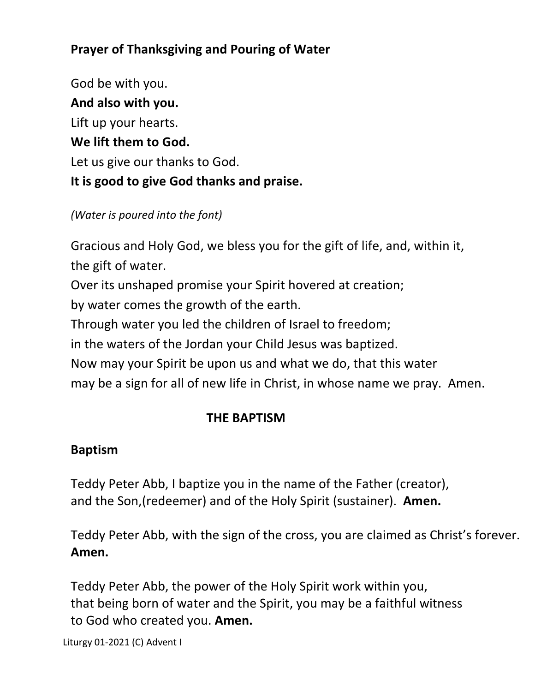# **Prayer of Thanksgiving and Pouring of Water**

God be with you. **And also with you.**  Lift up your hearts. **We lift them to God.**  Let us give our thanks to God. **It is good to give God thanks and praise.** 

*(Water is poured into the font)* 

Gracious and Holy God, we bless you for the gift of life, and, within it, the gift of water.

Over its unshaped promise your Spirit hovered at creation;

by water comes the growth of the earth.

Through water you led the children of Israel to freedom;

in the waters of the Jordan your Child Jesus was baptized.

Now may your Spirit be upon us and what we do, that this water

may be a sign for all of new life in Christ, in whose name we pray. Amen.

### **THE BAPTISM**

### **Baptism**

Teddy Peter Abb, I baptize you in the name of the Father (creator), and the Son,(redeemer) and of the Holy Spirit (sustainer). **Amen.** 

Teddy Peter Abb, with the sign of the cross, you are claimed as Christ's forever. **Amen.** 

Teddy Peter Abb, the power of the Holy Spirit work within you, that being born of water and the Spirit, you may be a faithful witness to God who created you. **Amen.** 

Liturgy 01-2021 (C) Advent I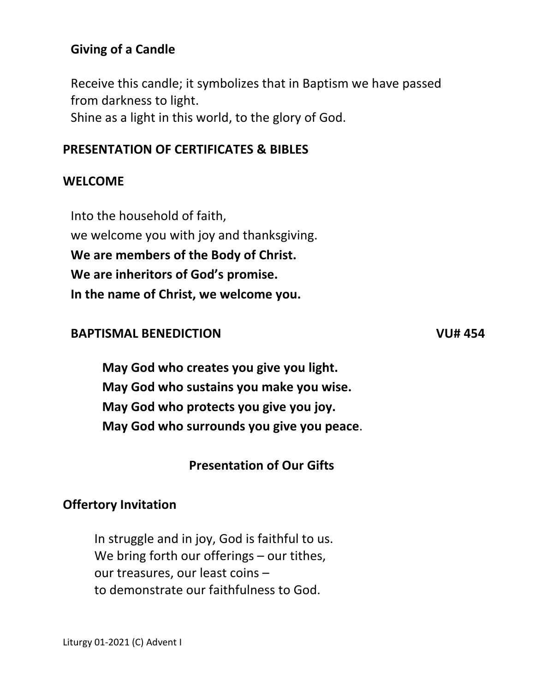### **Giving of a Candle**

Receive this candle; it symbolizes that in Baptism we have passed from darkness to light.

Shine as a light in this world, to the glory of God.

#### **PRESENTATION OF CERTIFICATES & BIBLES**

#### **WELCOME**

Into the household of faith, we welcome you with joy and thanksgiving. **We are members of the Body of Christ. We are inheritors of God's promise. In the name of Christ, we welcome you.** 

#### **BAPTISMAL BENEDICTION VU# 454**

**May God who creates you give you light. May God who sustains you make you wise. May God who protects you give you joy. May God who surrounds you give you peace**.

#### **Presentation of Our Gifts**

#### **Offertory Invitation**

In struggle and in joy, God is faithful to us. We bring forth our offerings – our tithes, our treasures, our least coins – to demonstrate our faithfulness to God.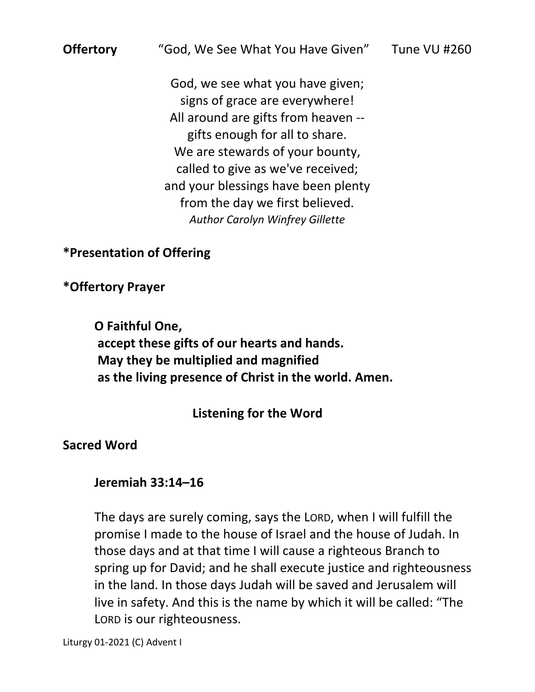# **Offertory** "God, We See What You Have Given" Tune VU #260

God, we see what you have given; signs of grace are everywhere! All around are gifts from heaven - gifts enough for all to share. We are stewards of your bounty, called to give as we've received; and your blessings have been plenty from the day we first believed. *Author Carolyn Winfrey Gillette*

**\*Presentation of Offering** 

**\*Offertory Prayer** 

**O Faithful One, accept these gifts of our hearts and hands. May they be multiplied and magnified as the living presence of Christ in the world. Amen.**

 **Listening for the Word** 

**Sacred Word** 

 **Jeremiah 33:14–16** 

 The days are surely coming, says the LORD, when I will fulfill the promise I made to the house of Israel and the house of Judah. In those days and at that time I will cause a righteous Branch to spring up for David; and he shall execute justice and righteousness in the land. In those days Judah will be saved and Jerusalem will live in safety. And this is the name by which it will be called: "The LORD is our righteousness.

Liturgy 01-2021 (C) Advent I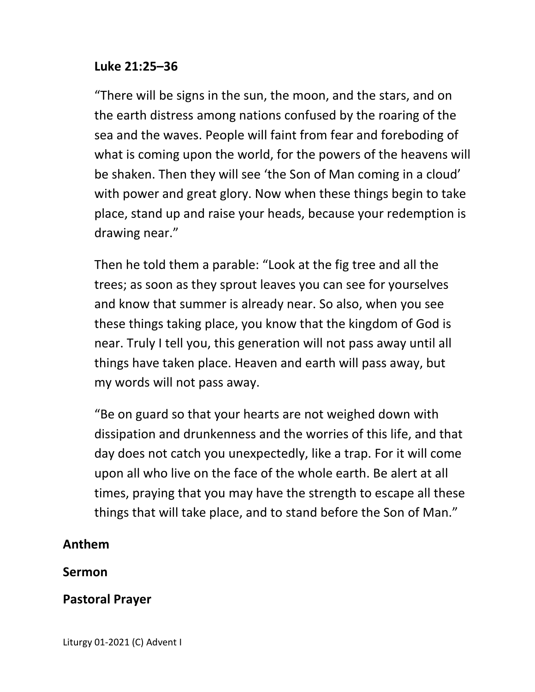### **Luke 21:25–36**

"There will be signs in the sun, the moon, and the stars, and on the earth distress among nations confused by the roaring of the sea and the waves. People will faint from fear and foreboding of what is coming upon the world, for the powers of the heavens will be shaken. Then they will see 'the Son of Man coming in a cloud' with power and great glory. Now when these things begin to take place, stand up and raise your heads, because your redemption is drawing near."

Then he told them a parable: "Look at the fig tree and all the trees; as soon as they sprout leaves you can see for yourselves and know that summer is already near. So also, when you see these things taking place, you know that the kingdom of God is near. Truly I tell you, this generation will not pass away until all things have taken place. Heaven and earth will pass away, but my words will not pass away.

"Be on guard so that your hearts are not weighed down with dissipation and drunkenness and the worries of this life, and that day does not catch you unexpectedly, like a trap. For it will come upon all who live on the face of the whole earth. Be alert at all times, praying that you may have the strength to escape all these things that will take place, and to stand before the Son of Man."

### **Anthem**

#### **Sermon**

### **Pastoral Prayer**